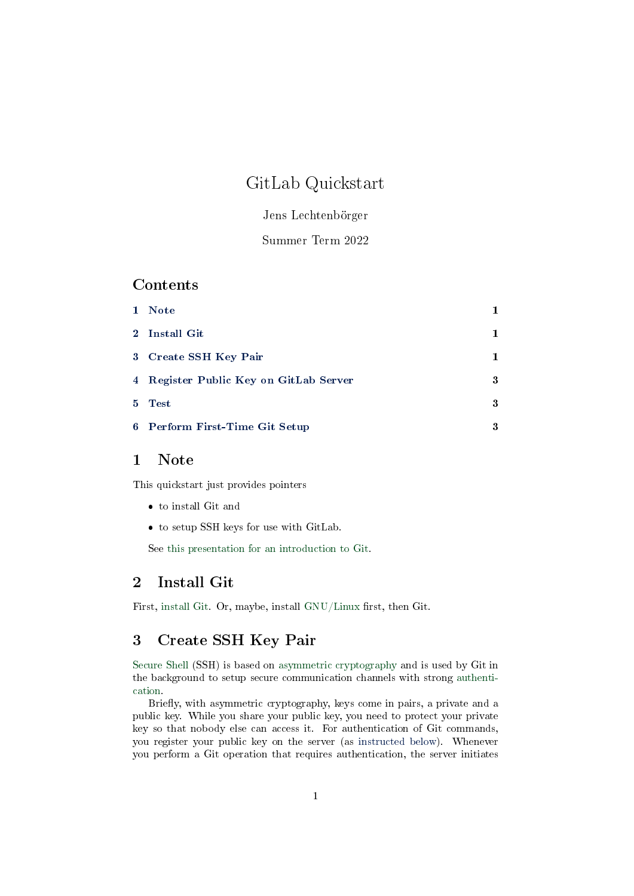# GitLab Quickstart

## Jens Lechtenbörger

### Summer Term 2022

### Contents

|                | 1 Note                                 |    |
|----------------|----------------------------------------|----|
|                | 2 Install Git                          | 1. |
|                | 3 Create SSH Key Pair                  | 1  |
|                | 4 Register Public Key on GitLab Server | 3  |
| 5 <sup>1</sup> | Test                                   | 3  |
|                | 6 Perform First-Time Git Setup         | 3  |

# <span id="page-0-0"></span>1 Note

This quickstart just provides pointers

- to install Git and
- to setup SSH keys for use with GitLab.

See [this presentation for an introduction to Git.](../Git-Introduction.org)

### <span id="page-0-1"></span>2 Install Git

First, [install Git.](https://git-scm.com/book/en/v2/Getting-Started-Installing-Git) Or, maybe, install [GNU/Linux](https://www.getgnulinux.org/) first, then Git.

# <span id="page-0-2"></span>3 Create SSH Key Pair

[Secure Shell](https://en.wikipedia.org/wiki/Secure_Shell) (SSH) is based on [asymmetric cryptography](https://oer.gitlab.io/OS/Operating-Systems-Security.html#slide-asym-intuition) and is used by Git in the background to setup secure communication channels with strong [authenti](https://oer.gitlab.io/OS/Operating-Systems-Security.html#slide-security-services-2)[cation.](https://oer.gitlab.io/OS/Operating-Systems-Security.html#slide-security-services-2)

Briefly, with asymmetric cryptography, keys come in pairs, a private and a public key. While you share your public key, you need to protect your private key so that nobody else can access it. For authentication of Git commands, you register your public key on the server (as [instructed below\)](#page-2-0). Whenever you perform a Git operation that requires authentication, the server initiates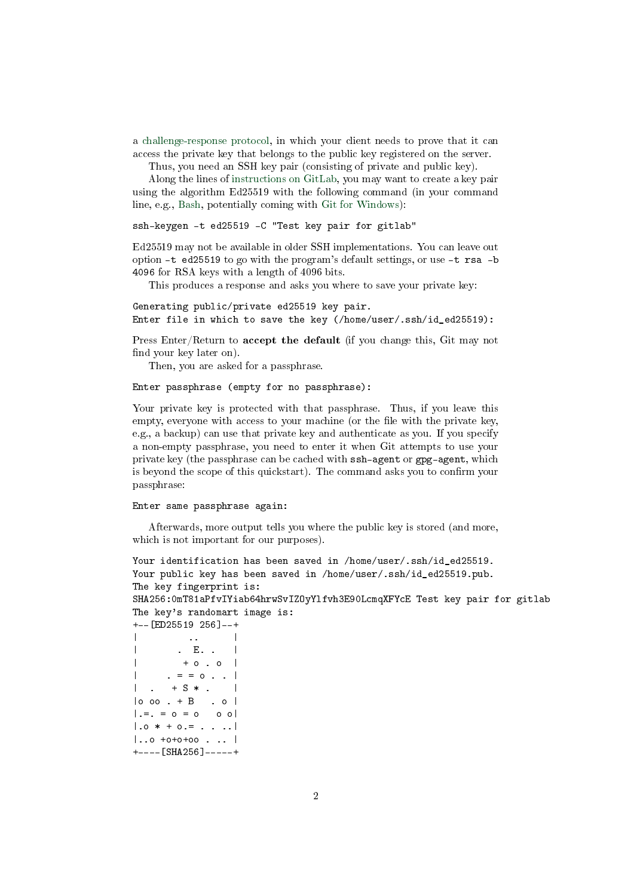a [challenge-response protocol,](https://en.wikipedia.org/wiki/Challenge%E2%80%93response_authentication) in which your client needs to prove that it can access the private key that belongs to the public key registered on the server.

Thus, you need an SSH key pair (consisting of private and public key).

Along the lines of [instructions on GitLab,](https://docs.gitlab.com/ee/user/ssh.html) you may want to create a key pair using the algorithm Ed25519 with the following command (in your command line, e.g., [Bash,](https://oer.gitlab.io/OS/Operating-Systems-Introduction.html#slide-bash-access) potentially coming with [Git for Windows\)](https://gitforwindows.org/):

ssh-keygen -t ed25519 -C "Test key pair for gitlab"

Ed25519 may not be available in older SSH implementations. You can leave out option -t ed25519 to go with the program's default settings, or use -t rsa -b 4096 for RSA keys with a length of 4096 bits.

This produces a response and asks you where to save your private key:

Generating public/private ed25519 key pair. Enter file in which to save the key (/home/user/.ssh/id\_ed25519):

Press Enter/Return to accept the default (if you change this, Git may not find your key later on).

Then, you are asked for a passphrase.

Enter passphrase (empty for no passphrase):

Your private key is protected with that passphrase. Thus, if you leave this empty, everyone with access to your machine (or the file with the private key, e.g., a backup) can use that private key and authenticate as you. If you specify a non-empty passphrase, you need to enter it when Git attempts to use your private key (the passphrase can be cached with ssh-agent or gpg-agent, which is beyond the scope of this quickstart). The command asks you to confirm your passphrase:

Enter same passphrase again:

Afterwards, more output tells you where the public key is stored (and more, which is not important for our purposes).

```
Your identification has been saved in /home/user/.ssh/id_ed25519.
Your public key has been saved in /home/user/.ssh/id_ed25519.pub.
The key fingerprint is:
SHA256:0mT81aPfvIYiab64hrwSvIZOyYlfvh3E90LcmqXFYcE Test key pair for gitlab
The key's randomart image is:
+--[ED25519 256]--+
| .. | .. | .. | .. |
| . E. . |
\vert + o . o \vert\cdot = = o \cdot \cdot |
\vert . + S * . \vert
```

```
|o oo + B \dots o|| . =. = 0 = 0 0 0 || .0 * + 0. = . . . . . ||..o +o+o+oo . .. |
+----[SHA256]-----+
```